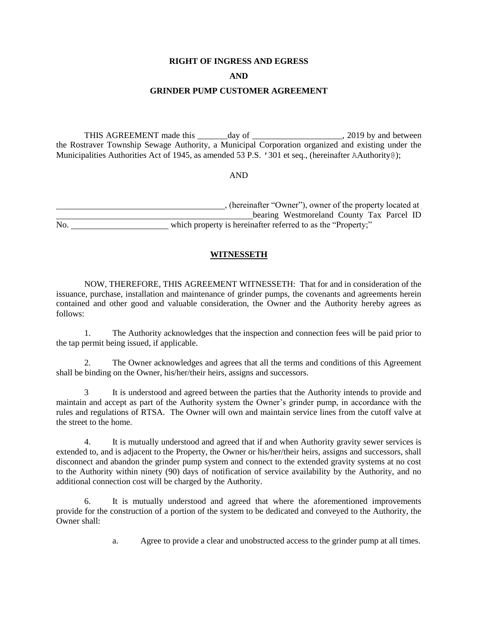#### **RIGHT OF INGRESS AND EGRESS**

#### **AND**

## **GRINDER PUMP CUSTOMER AGREEMENT**

THIS AGREEMENT made this \_\_\_\_\_\_\_day of \_\_\_\_\_\_\_\_\_\_\_\_\_\_\_\_\_\_\_\_\_, 2019 by and between the Rostraver Township Sewage Authority, a Municipal Corporation organized and existing under the Municipalities Authorities Act of 1945, as amended 53 P.S. '301 et seq., (hereinafter AAuthority@);

AND

, (hereinafter "Owner"), owner of the property located at **Example 2.1 bearing Westmoreland County Tax Parcel ID** No. which property is hereinafter referred to as the "Property;"

## **WITNESSETH**

NOW, THEREFORE, THIS AGREEMENT WITNESSETH: That for and in consideration of the issuance, purchase, installation and maintenance of grinder pumps, the covenants and agreements herein contained and other good and valuable consideration, the Owner and the Authority hereby agrees as follows:

1. The Authority acknowledges that the inspection and connection fees will be paid prior to the tap permit being issued, if applicable.

2. The Owner acknowledges and agrees that all the terms and conditions of this Agreement shall be binding on the Owner, his/her/their heirs, assigns and successors.

3 It is understood and agreed between the parties that the Authority intends to provide and maintain and accept as part of the Authority system the Owner's grinder pump, in accordance with the rules and regulations of RTSA. The Owner will own and maintain service lines from the cutoff valve at the street to the home.

4. It is mutually understood and agreed that if and when Authority gravity sewer services is extended to, and is adjacent to the Property, the Owner or his/her/their heirs, assigns and successors, shall disconnect and abandon the grinder pump system and connect to the extended gravity systems at no cost to the Authority within ninety (90) days of notification of service availability by the Authority, and no additional connection cost will be charged by the Authority.

6. It is mutually understood and agreed that where the aforementioned improvements provide for the construction of a portion of the system to be dedicated and conveyed to the Authority, the Owner shall:

a. Agree to provide a clear and unobstructed access to the grinder pump at all times.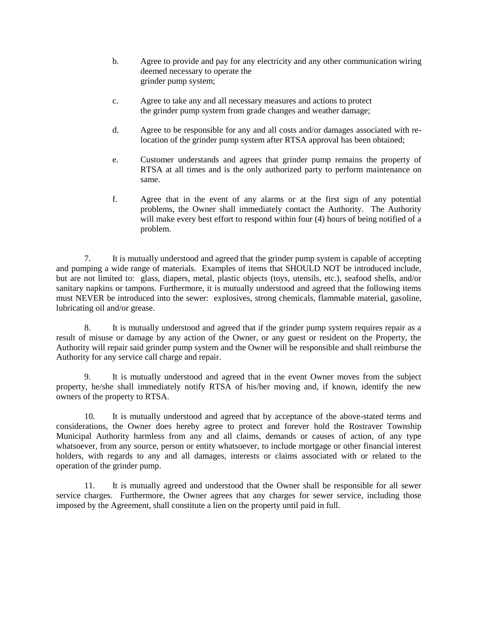- b. Agree to provide and pay for any electricity and any other communication wiring deemed necessary to operate the grinder pump system;
- c. Agree to take any and all necessary measures and actions to protect the grinder pump system from grade changes and weather damage;
- d. Agree to be responsible for any and all costs and/or damages associated with relocation of the grinder pump system after RTSA approval has been obtained;
- e. Customer understands and agrees that grinder pump remains the property of RTSA at all times and is the only authorized party to perform maintenance on same.
- f. Agree that in the event of any alarms or at the first sign of any potential problems, the Owner shall immediately contact the Authority. The Authority will make every best effort to respond within four (4) hours of being notified of a problem.

7. It is mutually understood and agreed that the grinder pump system is capable of accepting and pumping a wide range of materials. Examples of items that SHOULD NOT be introduced include, but are not limited to: glass, diapers, metal, plastic objects (toys, utensils, etc.), seafood shells, and/or sanitary napkins or tampons. Furthermore, it is mutually understood and agreed that the following items must NEVER be introduced into the sewer: explosives, strong chemicals, flammable material, gasoline, lubricating oil and/or grease.

8. It is mutually understood and agreed that if the grinder pump system requires repair as a result of misuse or damage by any action of the Owner, or any guest or resident on the Property, the Authority will repair said grinder pump system and the Owner will be responsible and shall reimburse the Authority for any service call charge and repair.

9. It is mutually understood and agreed that in the event Owner moves from the subject property, he/she shall immediately notify RTSA of his/her moving and, if known, identify the new owners of the property to RTSA.

10. It is mutually understood and agreed that by acceptance of the above-stated terms and considerations, the Owner does hereby agree to protect and forever hold the Rostraver Township Municipal Authority harmless from any and all claims, demands or causes of action, of any type whatsoever, from any source, person or entity whatsoever, to include mortgage or other financial interest holders, with regards to any and all damages, interests or claims associated with or related to the operation of the grinder pump.

11. It is mutually agreed and understood that the Owner shall be responsible for all sewer service charges. Furthermore, the Owner agrees that any charges for sewer service, including those imposed by the Agreement, shall constitute a lien on the property until paid in full.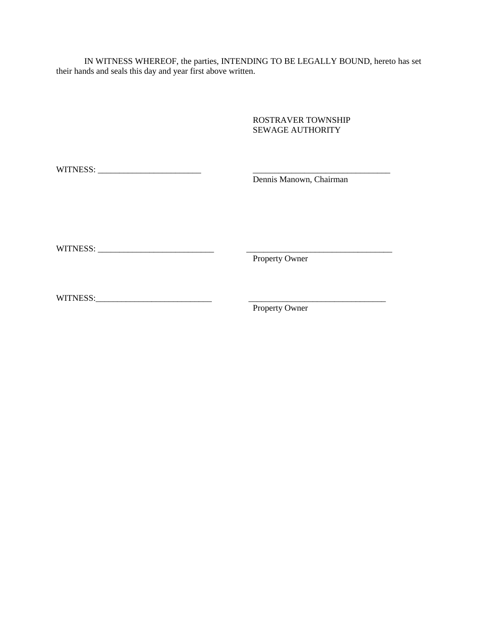IN WITNESS WHEREOF, the parties, INTENDING TO BE LEGALLY BOUND, hereto has set their hands and seals this day and year first above written.

> ROSTRAVER TOWNSHIP SEWAGE AUTHORITY

| Dennis Manown, Chairman |
|-------------------------|
|                         |
|                         |
|                         |
|                         |
|                         |
|                         |
| <b>Property Owner</b>   |
|                         |
|                         |
|                         |
| Property Owner          |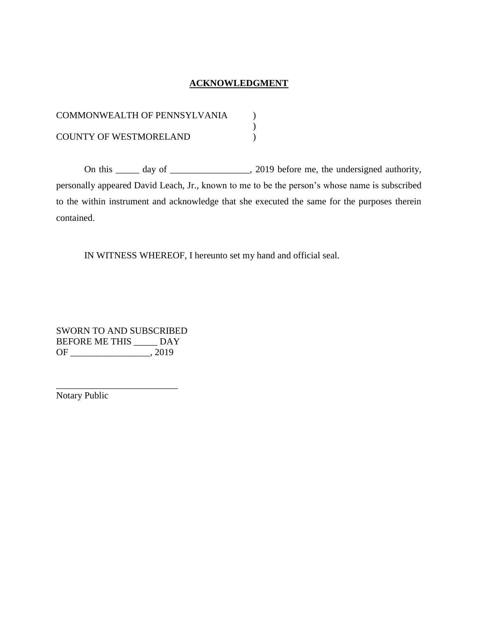# **ACKNOWLEDGMENT**

| <b>COMMONWEALTH OF PENNSYLVANIA</b> |  |
|-------------------------------------|--|
|                                     |  |
| <b>COUNTY OF WESTMORELAND</b>       |  |

On this \_\_\_\_\_ day of \_\_\_\_\_\_\_\_\_\_\_\_\_\_\_, 2019 before me, the undersigned authority, personally appeared David Leach, Jr., known to me to be the person's whose name is subscribed to the within instrument and acknowledge that she executed the same for the purposes therein contained.

IN WITNESS WHEREOF, I hereunto set my hand and official seal.

SWORN TO AND SUBSCRIBED BEFORE ME THIS \_\_\_\_\_ DAY OF \_\_\_\_\_\_\_\_\_\_\_\_\_\_\_\_\_, 2019

\_\_\_\_\_\_\_\_\_\_\_\_\_\_\_\_\_\_\_\_\_\_\_\_\_\_

Notary Public